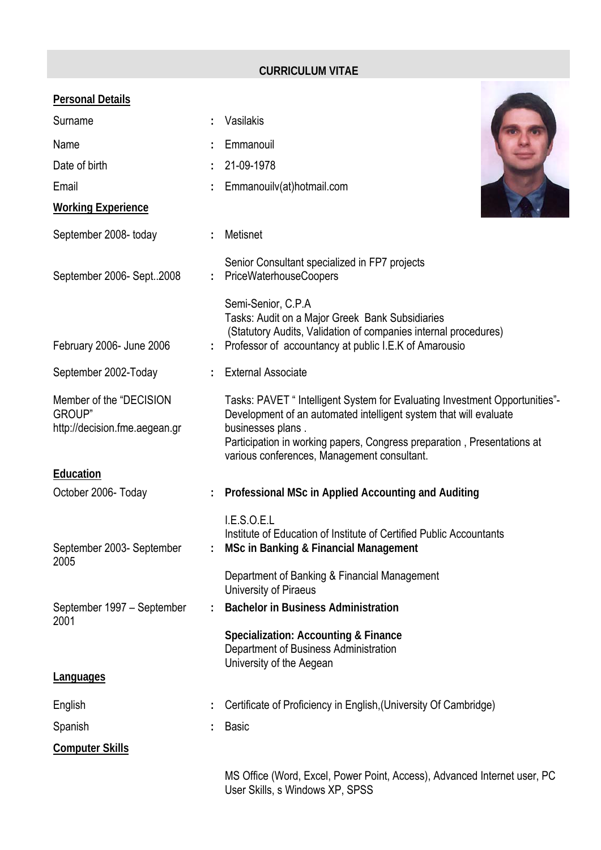## **CURRICULUM VITAE**

| <u>Personal Details</u>                                                    |                                                                                                                                                                                                                                                                                                 |
|----------------------------------------------------------------------------|-------------------------------------------------------------------------------------------------------------------------------------------------------------------------------------------------------------------------------------------------------------------------------------------------|
| Surname                                                                    | Vasilakis                                                                                                                                                                                                                                                                                       |
| Name                                                                       | Emmanouil                                                                                                                                                                                                                                                                                       |
| Date of birth                                                              | 21-09-1978                                                                                                                                                                                                                                                                                      |
| Email                                                                      | Emmanouilv(at)hotmail.com                                                                                                                                                                                                                                                                       |
| <b>Working Experience</b>                                                  |                                                                                                                                                                                                                                                                                                 |
| September 2008- today                                                      | Metisnet                                                                                                                                                                                                                                                                                        |
| September 2006- Sept2008                                                   | Senior Consultant specialized in FP7 projects<br>PriceWaterhouseCoopers                                                                                                                                                                                                                         |
| February 2006- June 2006                                                   | Semi-Senior, C.P.A<br>Tasks: Audit on a Major Greek Bank Subsidiaries<br>(Statutory Audits, Validation of companies internal procedures)<br>Professor of accountancy at public I.E.K of Amarousio                                                                                               |
| September 2002-Today                                                       | <b>External Associate</b>                                                                                                                                                                                                                                                                       |
| Member of the "DECISION<br><b>GROUP</b> "<br>http://decision.fme.aegean.gr | Tasks: PAVET " Intelligent System for Evaluating Investment Opportunities"-<br>Development of an automated intelligent system that will evaluate<br>businesses plans.<br>Participation in working papers, Congress preparation, Presentations at<br>various conferences, Management consultant. |
| Education                                                                  |                                                                                                                                                                                                                                                                                                 |
| October 2006- Today                                                        | Professional MSc in Applied Accounting and Auditing                                                                                                                                                                                                                                             |
| September 2003- September<br>2005                                          | I.E.S.O.E.L<br>Institute of Education of Institute of Certified Public Accountants<br><b>MSc in Banking &amp; Financial Management</b>                                                                                                                                                          |
|                                                                            | Department of Banking & Financial Management<br>University of Piraeus                                                                                                                                                                                                                           |
| September 1997 - September                                                 | <b>Bachelor in Business Administration</b>                                                                                                                                                                                                                                                      |
| 2001                                                                       | Specialization: Accounting & Finance<br>Department of Business Administration<br>University of the Aegean                                                                                                                                                                                       |
| <b>Languages</b>                                                           |                                                                                                                                                                                                                                                                                                 |
| English                                                                    | Certificate of Proficiency in English, (University Of Cambridge)                                                                                                                                                                                                                                |
| Spanish                                                                    | <b>Basic</b>                                                                                                                                                                                                                                                                                    |
| <b>Computer Skills</b>                                                     |                                                                                                                                                                                                                                                                                                 |
|                                                                            | MS Office (Word, Excel, Power Point, Access), Advanced Internet user, PC<br>User Skills, s Windows XP, SPSS                                                                                                                                                                                     |